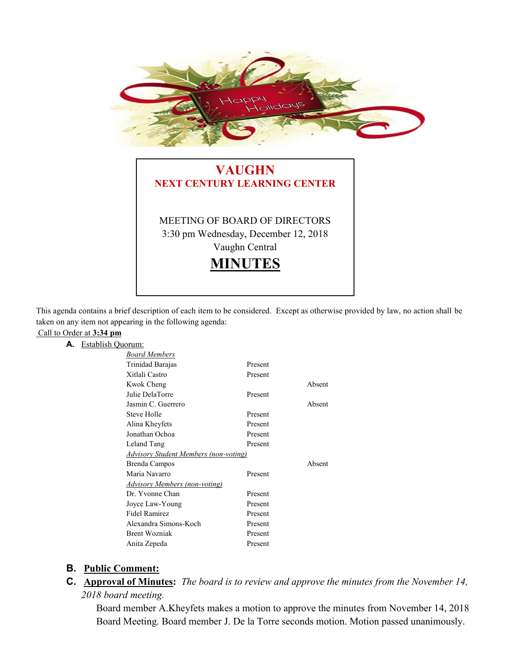

# **VAUGHN NEXT CENTURY LEARNING CENTER** MEETING OF BOARD OF DIRECTORS 3:30 pm Wednesday, December 12, 2018 Vaughn Central **MINUTES**

This agenda contains a brief description of each item to be considered. Except as otherwise provided by law, no action shall be taken on any item not appearing in the following agenda:

#### Call to Order at **3:34 pm A.** Establish Q

| Juorum:                                      |         |        |
|----------------------------------------------|---------|--------|
| <b>Board Members</b>                         |         |        |
| Trinidad Barajas                             | Present |        |
| Xitlali Castro                               | Present |        |
| Kwok Cheng                                   |         | Absent |
| Julie DelaTorre                              | Present |        |
| Jasmin C. Guerrero                           |         | Absent |
| Steve Holle                                  | Present |        |
| Alina Kheyfets                               | Present |        |
| Jonathan Ochoa                               | Present |        |
| Leland Tang                                  | Present |        |
| <b>Advisory Student Members (non-voting)</b> |         |        |
|                                              |         |        |
| Brenda Campos                                |         | Absent |
| Maria Navarro                                | Present |        |
| <b>Advisory Members (non-voting)</b>         |         |        |
| Dr. Yvonne Chan                              | Present |        |
| Joyce Law-Young                              | Present |        |
| <b>Fidel Ramirez</b>                         | Present |        |
| Alexandra Simons-Koch                        | Present |        |
| <b>Brent Wozniak</b>                         | Present |        |
| Anita Zepeda                                 | Present |        |

## **B. Public Comment:**

**C. Approval of Minutes:** *The board is to review and approve the minutes from the November 14, 2018 board meeting.*

Board member A.Kheyfets makes a motion to approve the minutes from November 14, 2018 Board Meeting. Board member J. De la Torre seconds motion. Motion passed unanimously.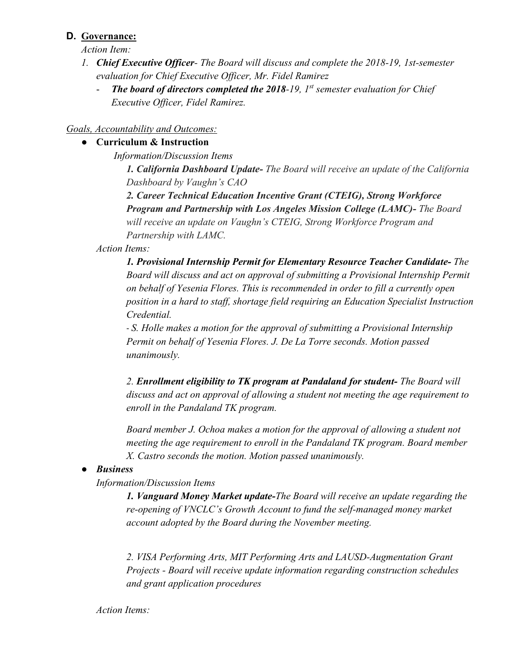## **D. Governance:**

*Action Item:*

- *1. Chief Executive Officer- The Board will discuss and complete the 2018-19, 1st-semester evaluation for Chief Executive Officer, Mr. Fidel Ramirez*
	- *The board of directors completed the 2018-19, 1st semester evaluation for Chief Executive Officer, Fidel Ramirez.*

#### *Goals, Accountability and Outcomes:*

### ● **Curriculum & Instruction**

*Information/Discussion Items*

*1. California Dashboard Update- The Board will receive an update of the California Dashboard by Vaughn's CAO*

*2. Career Technical Education Incentive Grant (CTEIG), Strong Workforce Program and Partnership with Los Angeles Mission College (LAMC)- The Board will receive an update on Vaughn's CTEIG, Strong Workforce Program and Partnership with LAMC.*

#### *Action Items:*

*1. Provisional Internship Permit for Elementary Resource Teacher Candidate- The Board will discuss and act on approval of submitting a Provisional Internship Permit on behalf of Yesenia Flores. This is recommended in order to fill a currently open position in a hard to staff, shortage field requiring an Education Specialist Instruction Credential.*

- *S. Holle makes a motion for the approval of submitting a Provisional Internship Permit on behalf of Yesenia Flores. J. De La Torre seconds. Motion passed unanimously.*

*2. Enrollment eligibility to TK program at Pandaland for student- The Board will discuss and act on approval of allowing a student not meeting the age requirement to enroll in the Pandaland TK program.*

*Board member J. Ochoa makes a motion for the approval of allowing a student not meeting the age requirement to enroll in the Pandaland TK program. Board member X. Castro seconds the motion. Motion passed unanimously.*

## ● *Business*

*Information/Discussion Items* 

*1. Vanguard Money Market update-The Board will receive an update regarding the re-opening of VNCLC's Growth Account to fund the self-managed money market account adopted by the Board during the November meeting.* 

*2. VISA Performing Arts, MIT Performing Arts and LAUSD-Augmentation Grant Projects - Board will receive update information regarding construction schedules and grant application procedures*